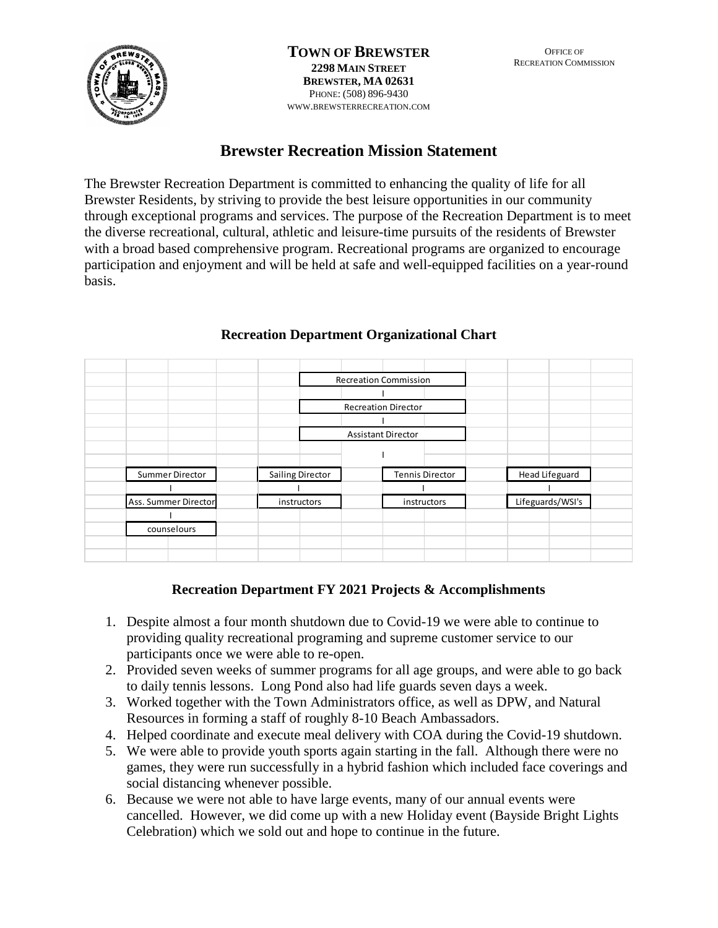

**TOWN OF BREWSTER 2298 MAIN STREET BREWSTER, MA 02631**  PHONE: (508) 896-9430 WWW.BREWSTERRECREATION.COM

# **Brewster Recreation Mission Statement**

The Brewster Recreation Department is committed to enhancing the quality of life for all Brewster Residents, by striving to provide the best leisure opportunities in our community through exceptional programs and services. The purpose of the Recreation Department is to meet the diverse recreational, cultural, athletic and leisure-time pursuits of the residents of Brewster with a broad based comprehensive program. Recreational programs are organized to encourage participation and enjoyment and will be held at safe and well-equipped facilities on a year-round basis.

|                      |                         | <b>Recreation Commission</b> |                  |
|----------------------|-------------------------|------------------------------|------------------|
|                      |                         |                              |                  |
|                      |                         | <b>Recreation Director</b>   |                  |
|                      |                         |                              |                  |
|                      |                         | <b>Assistant Director</b>    |                  |
|                      |                         |                              |                  |
|                      |                         |                              |                  |
| Summer Director      | <b>Sailing Director</b> | <b>Tennis Director</b>       | Head Lifeguard   |
|                      |                         |                              |                  |
| Ass. Summer Director | instructors             | instructors                  | Lifeguards/WSI's |
|                      |                         |                              |                  |
| counselours          |                         |                              |                  |
|                      |                         |                              |                  |
|                      |                         |                              |                  |

# **Recreation Department Organizational Chart**

# **Recreation Department FY 2021 Projects & Accomplishments**

- 1. Despite almost a four month shutdown due to Covid-19 we were able to continue to providing quality recreational programing and supreme customer service to our participants once we were able to re-open.
- 2. Provided seven weeks of summer programs for all age groups, and were able to go back to daily tennis lessons. Long Pond also had life guards seven days a week.
- 3. Worked together with the Town Administrators office, as well as DPW, and Natural Resources in forming a staff of roughly 8-10 Beach Ambassadors.
- 4. Helped coordinate and execute meal delivery with COA during the Covid-19 shutdown.
- 5. We were able to provide youth sports again starting in the fall. Although there were no games, they were run successfully in a hybrid fashion which included face coverings and social distancing whenever possible.
- 6. Because we were not able to have large events, many of our annual events were cancelled. However, we did come up with a new Holiday event (Bayside Bright Lights Celebration) which we sold out and hope to continue in the future.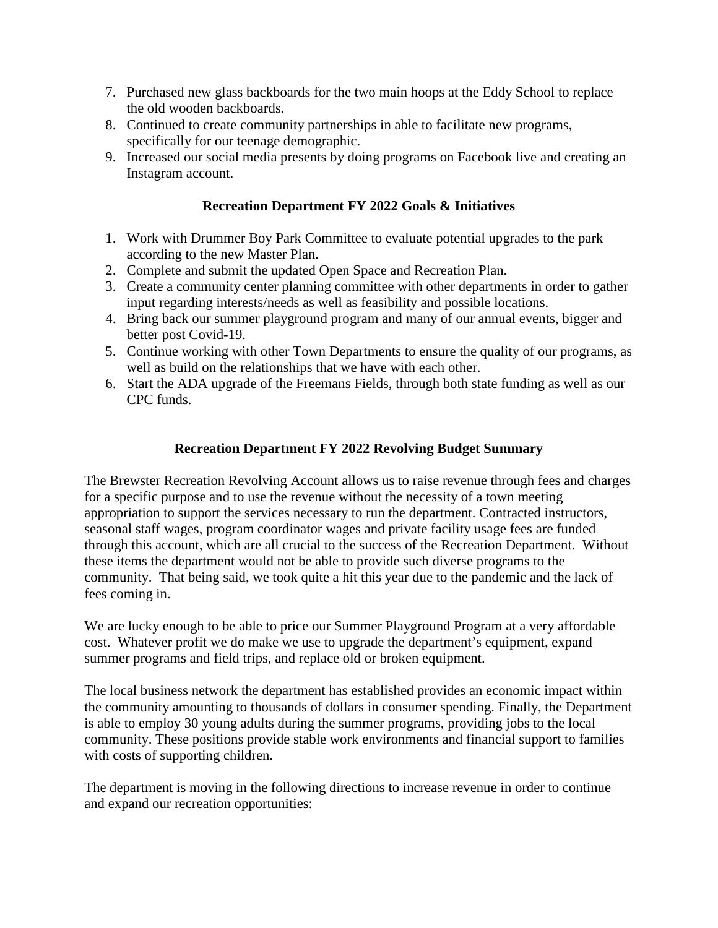- 7. Purchased new glass backboards for the two main hoops at the Eddy School to replace the old wooden backboards.
- 8. Continued to create community partnerships in able to facilitate new programs, specifically for our teenage demographic.
- 9. Increased our social media presents by doing programs on Facebook live and creating an Instagram account.

# **Recreation Department FY 2022 Goals & Initiatives**

- 1. Work with Drummer Boy Park Committee to evaluate potential upgrades to the park according to the new Master Plan.
- 2. Complete and submit the updated Open Space and Recreation Plan.
- 3. Create a community center planning committee with other departments in order to gather input regarding interests/needs as well as feasibility and possible locations.
- 4. Bring back our summer playground program and many of our annual events, bigger and better post Covid-19.
- 5. Continue working with other Town Departments to ensure the quality of our programs, as well as build on the relationships that we have with each other.
- 6. Start the ADA upgrade of the Freemans Fields, through both state funding as well as our CPC funds.

# **Recreation Department FY 2022 Revolving Budget Summary**

The Brewster Recreation Revolving Account allows us to raise revenue through fees and charges for a specific purpose and to use the revenue without the necessity of a town meeting appropriation to support the services necessary to run the department. Contracted instructors, seasonal staff wages, program coordinator wages and private facility usage fees are funded through this account, which are all crucial to the success of the Recreation Department. Without these items the department would not be able to provide such diverse programs to the community. That being said, we took quite a hit this year due to the pandemic and the lack of fees coming in.

We are lucky enough to be able to price our Summer Playground Program at a very affordable cost. Whatever profit we do make we use to upgrade the department's equipment, expand summer programs and field trips, and replace old or broken equipment.

The local business network the department has established provides an economic impact within the community amounting to thousands of dollars in consumer spending. Finally, the Department is able to employ 30 young adults during the summer programs, providing jobs to the local community. These positions provide stable work environments and financial support to families with costs of supporting children.

The department is moving in the following directions to increase revenue in order to continue and expand our recreation opportunities: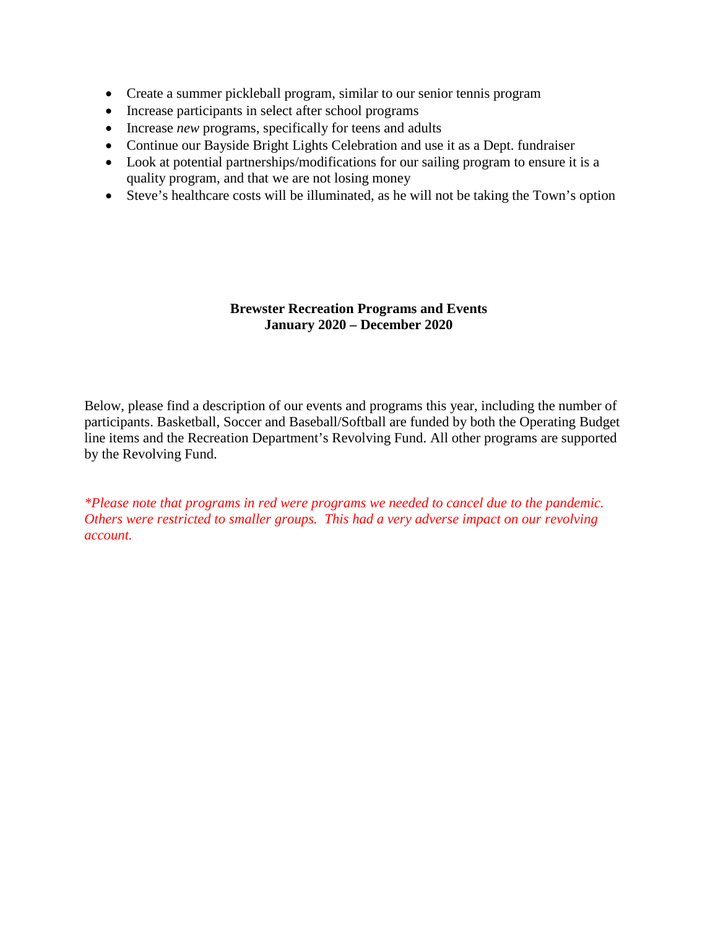- Create a summer pickleball program, similar to our senior tennis program
- Increase participants in select after school programs
- Increase *new* programs, specifically for teens and adults
- Continue our Bayside Bright Lights Celebration and use it as a Dept. fundraiser
- Look at potential partnerships/modifications for our sailing program to ensure it is a quality program, and that we are not losing money
- Steve's healthcare costs will be illuminated, as he will not be taking the Town's option

#### **Brewster Recreation Programs and Events January 2020 – December 2020**

Below, please find a description of our events and programs this year, including the number of participants. Basketball, Soccer and Baseball/Softball are funded by both the Operating Budget line items and the Recreation Department's Revolving Fund. All other programs are supported by the Revolving Fund.

*\*Please note that programs in red were programs we needed to cancel due to the pandemic. Others were restricted to smaller groups. This had a very adverse impact on our revolving account.*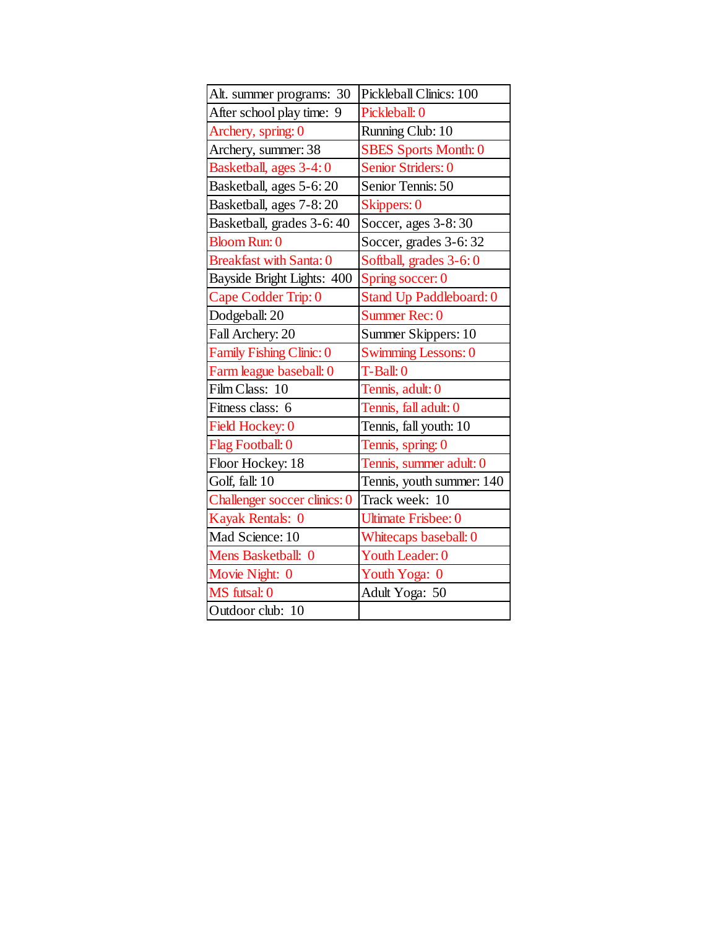| Alt. summer programs: 30       | Pickleball Clinics: 100     |
|--------------------------------|-----------------------------|
| After school play time: 9      | Pickleball: 0               |
| Archery, spring: 0             | Running Club: 10            |
| Archery, summer: 38            | <b>SBES Sports Month: 0</b> |
| Basketball, ages 3-4:0         | Senior Striders: 0          |
| Basketball, ages 5-6:20        | Senior Tennis: 50           |
| Basketball, ages 7-8:20        | Skippers: 0                 |
| Basketball, grades 3-6:40      | Soccer, ages 3-8:30         |
| <b>Bloom Run: 0</b>            | Soccer, grades 3-6:32       |
| <b>Breakfast with Santa: 0</b> | Softball, grades 3-6:0      |
| Bayside Bright Lights: 400     | Spring soccer: 0            |
| Cape Codder Trip: 0            | Stand Up Paddleboard: 0     |
| Dodgeball: 20                  | Summer Rec: 0               |
| Fall Archery: 20               | Summer Skippers: 10         |
| Family Fishing Clinic: 0       | <b>Swimming Lessons: 0</b>  |
| Farm league baseball: 0        | $T-Ball: 0$                 |
| Film Class: 10                 | Tennis, adult: 0            |
| Fitness class: 6               | Tennis, fall adult: 0       |
| Field Hockey: 0                | Tennis, fall youth: 10      |
| Flag Football: 0               | Tennis, spring: 0           |
| Floor Hockey: 18               | Tennis, summer adult: 0     |
| Golf, fall: 10                 | Tennis, youth summer: 140   |
| Challenger soccer clinics: 0   | Track week: 10              |
| Kayak Rentals: 0               | <b>Ultimate Frisbee: 0</b>  |
| Mad Science: 10                | Whitecaps baseball: 0       |
| Mens Basketball: 0             | Youth Leader: 0             |
| Movie Night: 0                 | Youth Yoga: 0               |
| MS futsal: 0                   | Adult Yoga: 50              |
| Outdoor club: 10               |                             |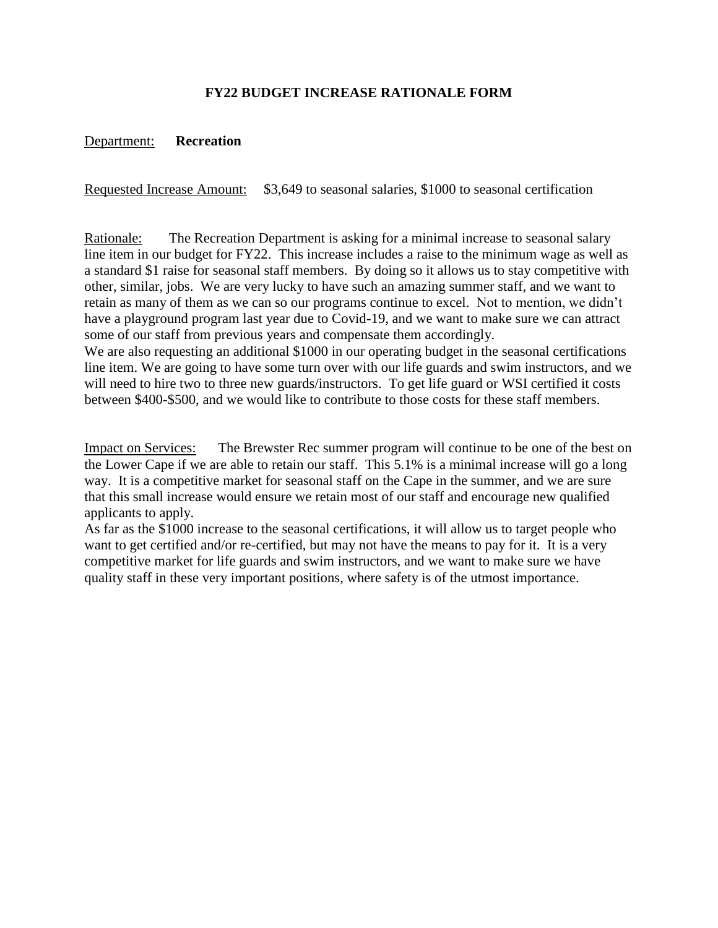# **FY22 BUDGET INCREASE RATIONALE FORM**

#### Department: **Recreation**

Requested Increase Amount: \$3,649 to seasonal salaries, \$1000 to seasonal certification

Rationale: The Recreation Department is asking for a minimal increase to seasonal salary line item in our budget for FY22. This increase includes a raise to the minimum wage as well as a standard \$1 raise for seasonal staff members. By doing so it allows us to stay competitive with other, similar, jobs. We are very lucky to have such an amazing summer staff, and we want to retain as many of them as we can so our programs continue to excel. Not to mention, we didn't have a playground program last year due to Covid-19, and we want to make sure we can attract some of our staff from previous years and compensate them accordingly.

We are also requesting an additional \$1000 in our operating budget in the seasonal certifications line item. We are going to have some turn over with our life guards and swim instructors, and we will need to hire two to three new guards/instructors. To get life guard or WSI certified it costs between \$400-\$500, and we would like to contribute to those costs for these staff members.

Impact on Services: The Brewster Rec summer program will continue to be one of the best on the Lower Cape if we are able to retain our staff. This 5.1% is a minimal increase will go a long way. It is a competitive market for seasonal staff on the Cape in the summer, and we are sure that this small increase would ensure we retain most of our staff and encourage new qualified applicants to apply.

As far as the \$1000 increase to the seasonal certifications, it will allow us to target people who want to get certified and/or re-certified, but may not have the means to pay for it. It is a very competitive market for life guards and swim instructors, and we want to make sure we have quality staff in these very important positions, where safety is of the utmost importance.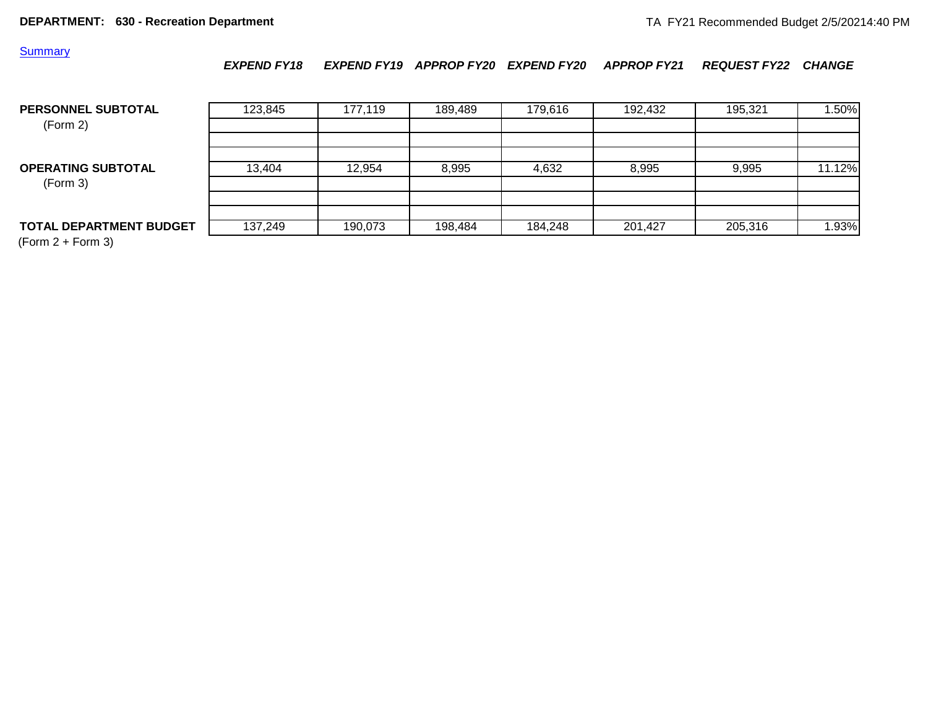**Summary** 

#### *EXPEND FY18 EXPEND FY19 APPROP FY20 EXPEND FY20 APPROP FY21 REQUEST FY22 CHANGE*

| PERSONNEL SUBTOTAL<br>(Form 2)        | 123,845 | 177.119 | 189.489 | 179.616 | 192,432 | 195,321 | 1.50%  |
|---------------------------------------|---------|---------|---------|---------|---------|---------|--------|
| <b>OPERATING SUBTOTAL</b><br>(Form 3) | 13,404  | 12,954  | 8,995   | 4,632   | 8,995   | 9,995   | 11.12% |
| <b>TOTAL DEPARTMENT BUDGET</b>        | 137,249 | 190,073 | 198,484 | 184,248 | 201,427 | 205,316 | 1.93%  |

(Form 2 + Form 3)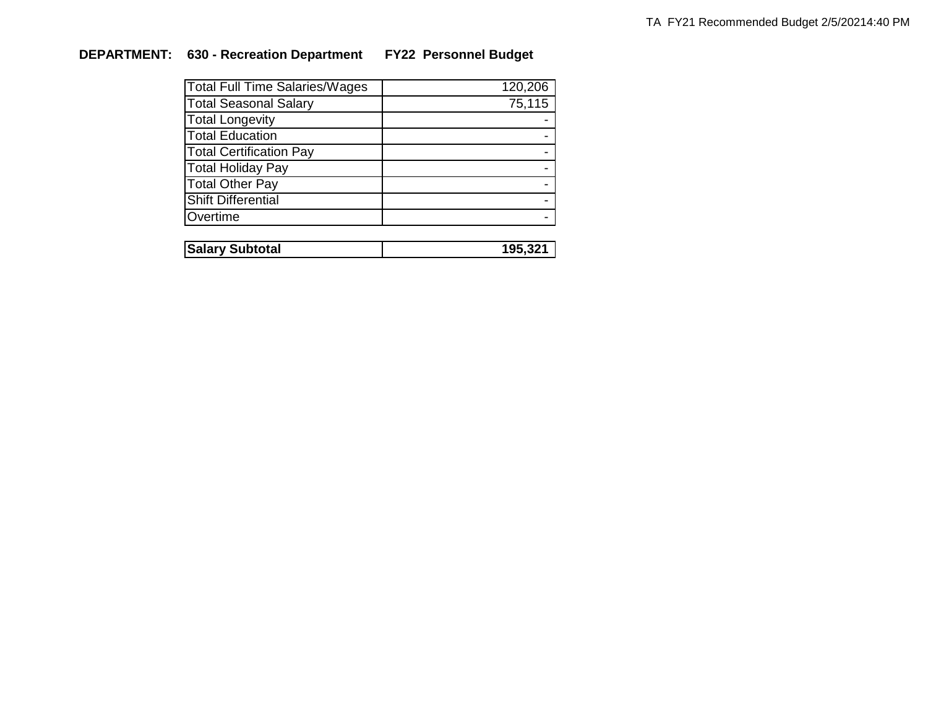# **DEPARTMENT: 630 - Recreation Department FY22 Personnel Budget**

| <b>Total Full Time Salaries/Wages</b> | 120,206 |
|---------------------------------------|---------|
| <b>Total Seasonal Salary</b>          | 75,115  |
| <b>Total Longevity</b>                |         |
| <b>Total Education</b>                |         |
| <b>Total Certification Pay</b>        |         |
| <b>Total Holiday Pay</b>              |         |
| <b>Total Other Pay</b>                |         |
| <b>Shift Differential</b>             |         |
| Overtime                              |         |
|                                       |         |

| <b>Salary Subtotal</b> |  |
|------------------------|--|
|                        |  |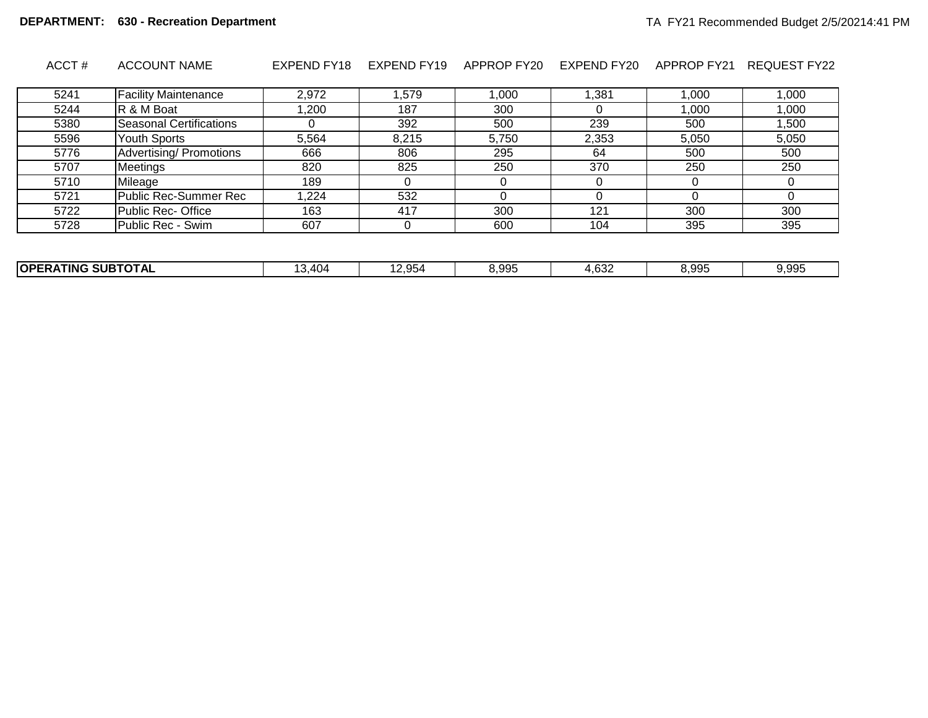| ACCT# | <b>ACCOUNT NAME</b> |  |  |  |  |  | EXPEND FY18 EXPEND FY19 APPROP FY20 EXPEND FY20 APPROP FY21 REQUEST FY22 |
|-------|---------------------|--|--|--|--|--|--------------------------------------------------------------------------|
|-------|---------------------|--|--|--|--|--|--------------------------------------------------------------------------|

| 5241 | <b>Facility Maintenance</b> | 2,972 | .579  | ,000  | ,381  | .000  | 000.   |
|------|-----------------------------|-------|-------|-------|-------|-------|--------|
| 5244 | R & M Boat                  | ,200  | 187   | 300   |       | ,000  | 000,1  |
| 5380 | Seasonal Certifications     |       | 392   | 500   | 239   | 500   | 500, ا |
| 5596 | <b>Youth Sports</b>         | 5,564 | 8,215 | 5,750 | 2,353 | 5,050 | 5,050  |
| 5776 | Advertising/ Promotions     | 666   | 806   | 295   | 64    | 500   | 500    |
| 5707 | Meetings                    | 820   | 825   | 250   | 370   | 250   | 250    |
| 5710 | Mileage                     | 189   |       |       |       |       |        |
| 5721 | Public Rec-Summer Rec       | 1.224 | 532   |       |       |       |        |
| 5722 | Public Rec- Office          | 163   | 417   | 300   | 121   | 300   | 300    |
| 5728 | Public Rec - Swim           | 607   |       | 600   | 104   | 395   | 395    |

| ---------<br><b>OPFF</b><br>--- - -<br>SUF<br>HNG.<br><b>OIAL</b> | 21 I 12<br>u. | 4.954 | 8,995 | $\sim$<br>ے≿4, | 8,995 | u aar<br>いいい |
|-------------------------------------------------------------------|---------------|-------|-------|----------------|-------|--------------|
|                                                                   |               |       |       |                |       |              |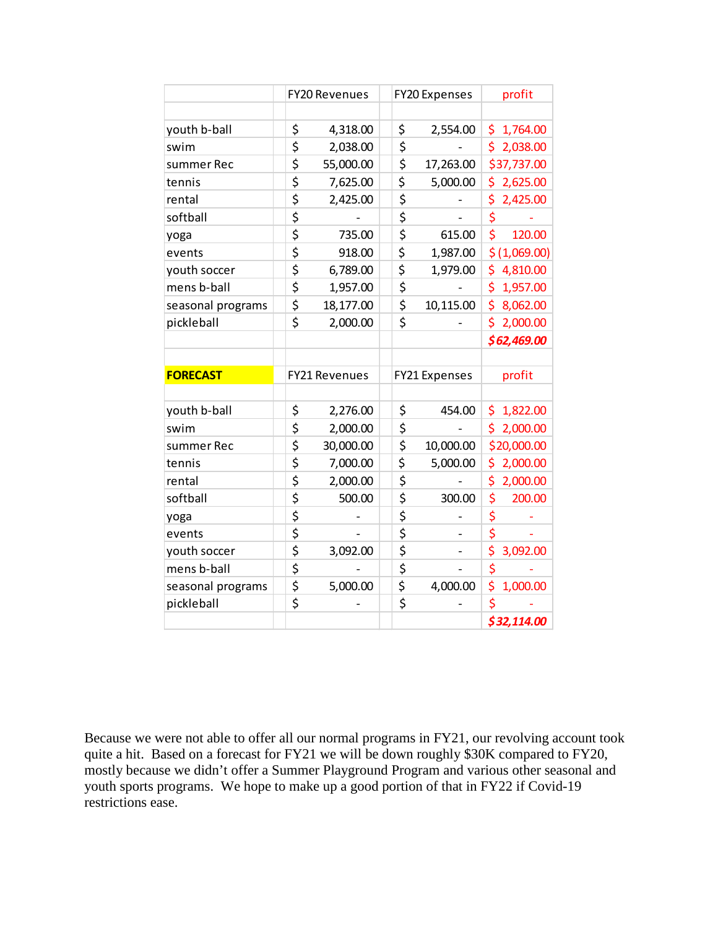|                   | <b>FY20 Revenues</b> |                      | <b>FY20 Expenses</b> | profit |              |
|-------------------|----------------------|----------------------|----------------------|--------|--------------|
|                   |                      |                      |                      |        |              |
| youth b-ball      | \$                   | 4,318.00             | \$<br>2,554.00       | \$.    | 1,764.00     |
| swim              | \$                   | 2,038.00             | \$                   | \$     | 2,038.00     |
| summer Rec        | \$                   | 55,000.00            | \$<br>17,263.00      |        | \$37,737.00  |
| tennis            | \$                   | 7,625.00             | \$<br>5,000.00       | \$     | 2,625.00     |
| rental            | \$                   | 2,425.00             | \$                   | \$     | 2,425.00     |
| softball          | \$                   |                      | \$                   | \$     |              |
| yoga              | \$                   | 735.00               | \$<br>615.00         | \$     | 120.00       |
| events            | \$                   | 918.00               | \$<br>1,987.00       |        | \$(1,069.00) |
| youth soccer      | \$                   | 6,789.00             | \$<br>1,979.00       | \$.    | 4,810.00     |
| mens b-ball       | \$                   | 1,957.00             | \$                   | \$     | 1,957.00     |
| seasonal programs | \$                   | 18,177.00            | \$<br>10,115.00      | \$     | 8,062.00     |
| pickleball        | \$                   | 2,000.00             | \$                   |        | \$2,000.00   |
|                   |                      |                      |                      |        | \$62,469.00  |
|                   |                      |                      |                      |        |              |
| <b>FORECAST</b>   |                      | <b>FY21 Revenues</b> | FY21 Expenses        |        | profit       |
|                   |                      |                      |                      |        |              |
| youth b-ball      | \$                   | 2,276.00             | \$<br>454.00         | \$     | 1,822.00     |
| swim              | \$                   | 2,000.00             | \$                   | \$.    | 2,000.00     |
| summer Rec        | \$                   | 30,000.00            | \$<br>10,000.00      |        | \$20,000.00  |
| tennis            | \$                   | 7,000.00             | \$<br>5,000.00       | \$     | 2,000.00     |
| rental            | \$                   | 2,000.00             | \$                   | \$     | 2,000.00     |
| softball          | \$                   | 500.00               | \$<br>300.00         | \$     | 200.00       |
| yoga              | \$                   |                      | \$                   | \$     |              |
| events            | \$                   |                      | \$                   | \$     |              |
| youth soccer      | \$                   | 3,092.00             | \$                   | \$     | 3,092.00     |
|                   |                      |                      |                      |        |              |
| mens b-ball       | \$                   |                      | \$                   | \$     |              |
| seasonal programs | \$                   | 5,000.00             | \$<br>4,000.00       | \$     | 1,000.00     |
| pickleball        | \$                   |                      | \$                   | \$     |              |

Because we were not able to offer all our normal programs in FY21, our revolving account took quite a hit. Based on a forecast for FY21 we will be down roughly \$30K compared to FY20, mostly because we didn't offer a Summer Playground Program and various other seasonal and youth sports programs. We hope to make up a good portion of that in FY22 if Covid-19 restrictions ease.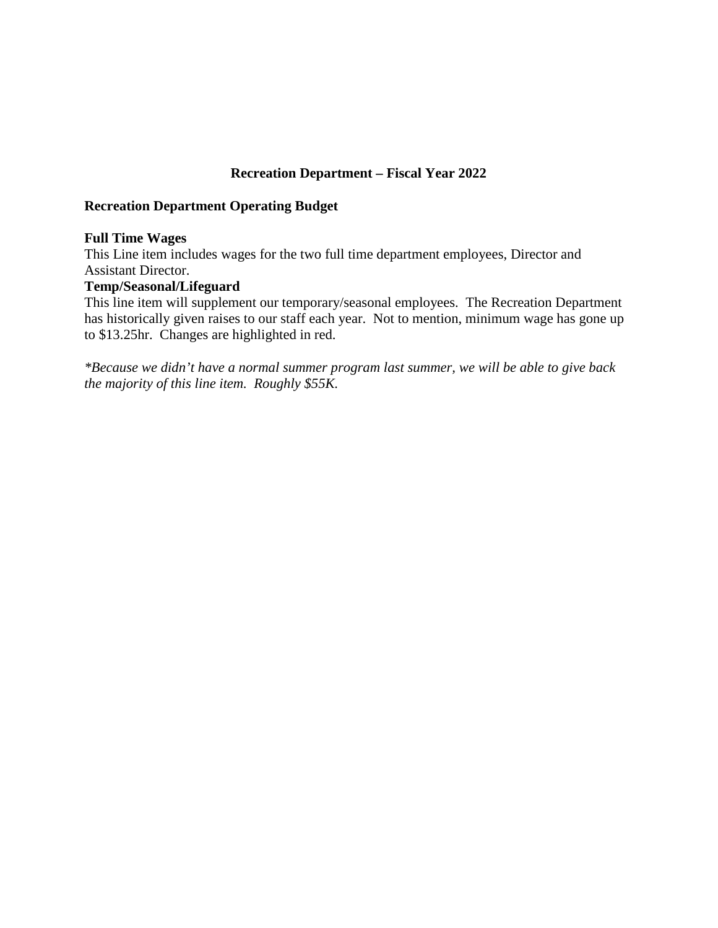### **Recreation Department – Fiscal Year 2022**

#### **Recreation Department Operating Budget**

#### **Full Time Wages**

This Line item includes wages for the two full time department employees, Director and Assistant Director.

#### **Temp/Seasonal/Lifeguard**

This line item will supplement our temporary/seasonal employees. The Recreation Department has historically given raises to our staff each year. Not to mention, minimum wage has gone up to \$13.25hr. Changes are highlighted in red.

*\*Because we didn't have a normal summer program last summer, we will be able to give back the majority of this line item. Roughly \$55K.*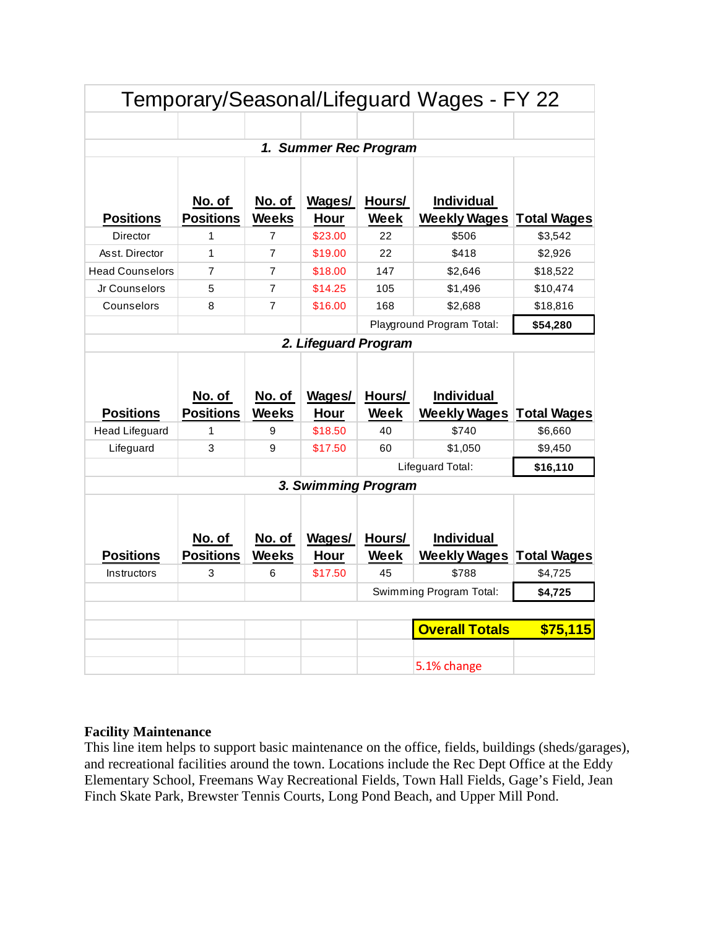|                                           |                            |                        |                        |                | Temporary/Seasonal/Lifeguard Wages - FY 22 |                               |
|-------------------------------------------|----------------------------|------------------------|------------------------|----------------|--------------------------------------------|-------------------------------|
|                                           |                            |                        |                        |                |                                            |                               |
|                                           |                            |                        | 1. Summer Rec Program  |                |                                            |                               |
| <b>Positions</b>                          | No. of<br><b>Positions</b> | No. of<br><b>Weeks</b> | Wages/<br>Hour         | Hours/<br>Week | <b>Individual</b><br><b>Weekly Wages</b>   | <b>Total Wages</b>            |
| Director                                  | 1                          | $\overline{7}$         | \$23.00                | 22             | \$506                                      | \$3,542                       |
| Asst. Director                            | 1                          | $\overline{7}$         | \$19.00                | 22             | \$418                                      | \$2,926                       |
| <b>Head Counselors</b>                    | 7                          | 7                      | \$18.00                | 147            | \$2,646                                    | \$18,522                      |
| Jr Counselors                             | 5                          | $\overline{7}$         | \$14.25                | 105            | \$1,496                                    | \$10,474                      |
| Counselors                                | 8                          | $\overline{7}$         | \$16.00                | 168            | \$2,688                                    | \$18,816                      |
|                                           | \$54,280                   |                        |                        |                |                                            |                               |
|                                           |                            |                        | 2. Lifeguard Program   |                |                                            |                               |
|                                           | No. of                     |                        |                        |                |                                            |                               |
|                                           |                            | No. of                 | Wages/                 | Hours/         | <b>Individual</b>                          |                               |
| <b>Positions</b><br><b>Head Lifeguard</b> | <b>Positions</b><br>1      | <b>Weeks</b><br>9      | Hour<br>\$18.50        | Week<br>40     | <b>Weekly Wages</b><br>\$740               | <b>Total Wages</b><br>\$6,660 |
| Lifeguard                                 | 3                          | 9                      | \$17.50                | 60             | \$1,050                                    | \$9,450                       |
|                                           |                            |                        |                        |                | Lifeguard Total:                           | \$16,110                      |
|                                           |                            |                        | 3. Swimming Program    |                |                                            |                               |
|                                           |                            |                        |                        |                |                                            |                               |
|                                           | No. of                     | No. of                 | Wages/                 | Hours/         | <b>Individual</b>                          |                               |
| <b>Positions</b><br>Instructors           | <b>Positions</b><br>3      | <b>Weeks</b><br>6      | <b>Hour</b><br>\$17.50 | Week<br>45     | <b>Weekly Wages</b><br>\$788               | <b>Total Wages</b><br>\$4,725 |
|                                           |                            |                        |                        |                | Swimming Program Total:                    | \$4,725                       |
|                                           |                            |                        |                        |                |                                            |                               |
|                                           |                            |                        |                        |                | <b>Overall Totals</b>                      | \$75,115                      |

# **Facility Maintenance**

This line item helps to support basic maintenance on the office, fields, buildings (sheds/garages), and recreational facilities around the town. Locations include the Rec Dept Office at the Eddy Elementary School, Freemans Way Recreational Fields, Town Hall Fields, Gage's Field, Jean Finch Skate Park, Brewster Tennis Courts, Long Pond Beach, and Upper Mill Pond.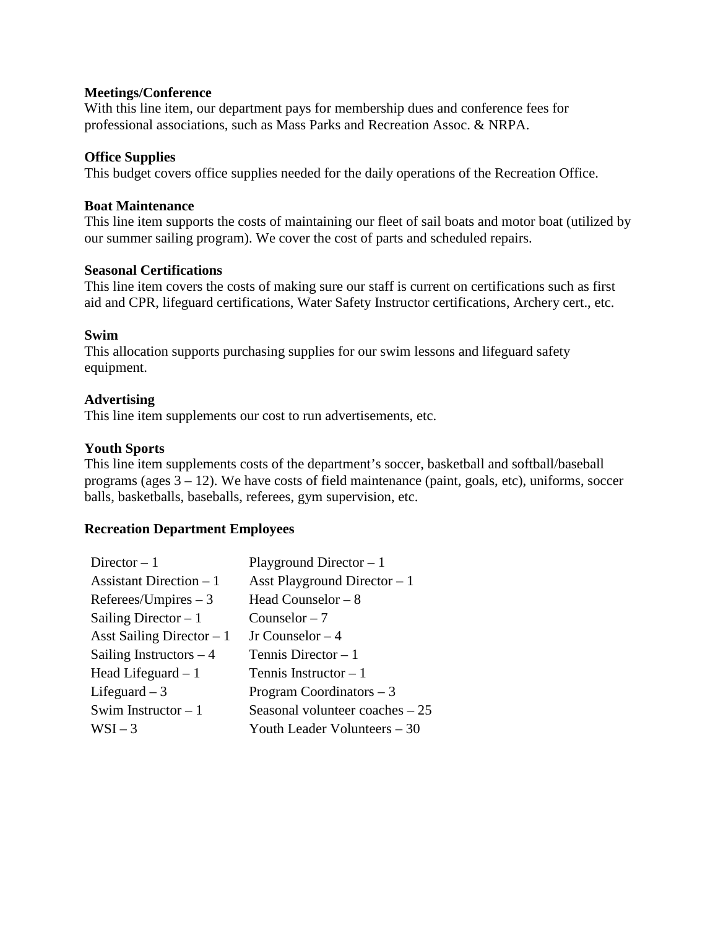#### **Meetings/Conference**

With this line item, our department pays for membership dues and conference fees for professional associations, such as Mass Parks and Recreation Assoc. & NRPA.

#### **Office Supplies**

This budget covers office supplies needed for the daily operations of the Recreation Office.

#### **Boat Maintenance**

This line item supports the costs of maintaining our fleet of sail boats and motor boat (utilized by our summer sailing program). We cover the cost of parts and scheduled repairs.

#### **Seasonal Certifications**

This line item covers the costs of making sure our staff is current on certifications such as first aid and CPR, lifeguard certifications, Water Safety Instructor certifications, Archery cert., etc.

#### **Swim**

This allocation supports purchasing supplies for our swim lessons and lifeguard safety equipment.

#### **Advertising**

This line item supplements our cost to run advertisements, etc.

#### **Youth Sports**

This line item supplements costs of the department's soccer, basketball and softball/baseball programs (ages 3 – 12). We have costs of field maintenance (paint, goals, etc), uniforms, soccer balls, basketballs, baseballs, referees, gym supervision, etc.

#### **Recreation Department Employees**

| Director $-1$              | Playground Director $-1$         |
|----------------------------|----------------------------------|
| Assistant Direction $-1$   | Asst Playground Director $-1$    |
| $References/Impires - 3$   | Head Counselor $-8$              |
| Sailing Director $-1$      | Counselor $-7$                   |
| Asst Sailing Director $-1$ | Jr Counselor $-4$                |
| Sailing Instructors $-4$   | Tennis Director $-1$             |
| Head Lifeguard $-1$        | Tennis Instructor $-1$           |
| Lifeguard $-3$             | Program Coordinators $-3$        |
| Swim Instructor $-1$       | Seasonal volunteer coaches $-25$ |
| $WSI-3$                    | Youth Leader Volunteers – 30     |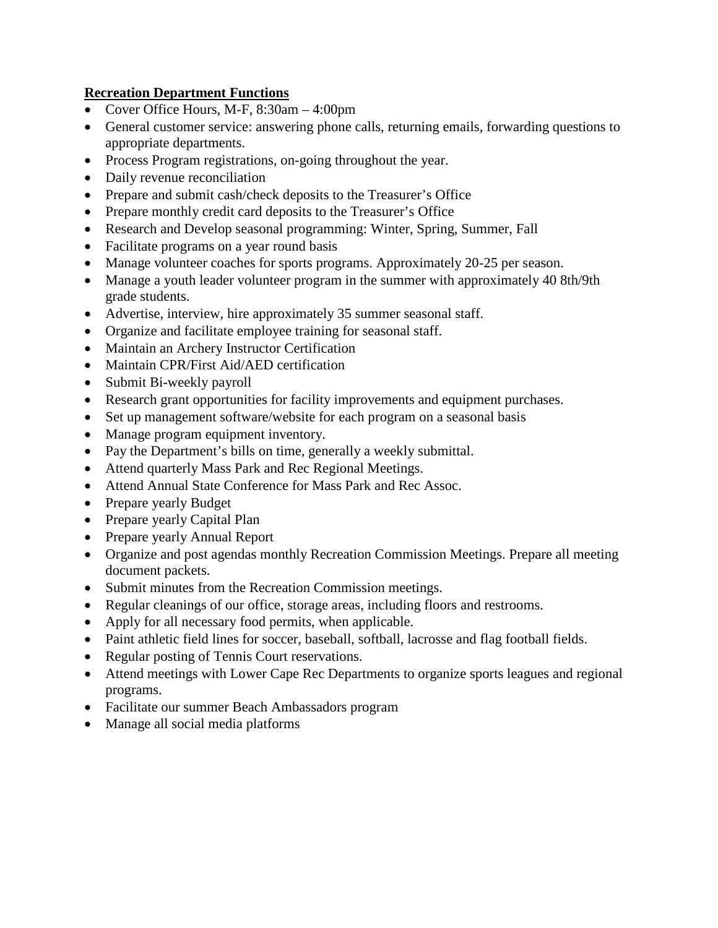# **Recreation Department Functions**

- Cover Office Hours, M-F, 8:30am 4:00pm
- General customer service: answering phone calls, returning emails, forwarding questions to appropriate departments.
- Process Program registrations, on-going throughout the year.
- Daily revenue reconciliation
- Prepare and submit cash/check deposits to the Treasurer's Office
- Prepare monthly credit card deposits to the Treasurer's Office
- Research and Develop seasonal programming: Winter, Spring, Summer, Fall
- Facilitate programs on a year round basis
- Manage volunteer coaches for sports programs. Approximately 20-25 per season.
- Manage a youth leader volunteer program in the summer with approximately 40 8th/9th grade students.
- Advertise, interview, hire approximately 35 summer seasonal staff.
- Organize and facilitate employee training for seasonal staff.
- Maintain an Archery Instructor Certification
- Maintain CPR/First Aid/AED certification
- Submit Bi-weekly payroll
- Research grant opportunities for facility improvements and equipment purchases.
- Set up management software/website for each program on a seasonal basis
- Manage program equipment inventory.
- Pay the Department's bills on time, generally a weekly submittal.
- Attend quarterly Mass Park and Rec Regional Meetings.
- Attend Annual State Conference for Mass Park and Rec Assoc.
- Prepare yearly Budget
- Prepare yearly Capital Plan
- Prepare yearly Annual Report
- Organize and post agendas monthly Recreation Commission Meetings. Prepare all meeting document packets.
- Submit minutes from the Recreation Commission meetings.
- Regular cleanings of our office, storage areas, including floors and restrooms.
- Apply for all necessary food permits, when applicable.
- Paint athletic field lines for soccer, baseball, softball, lacrosse and flag football fields.
- Regular posting of Tennis Court reservations.
- Attend meetings with Lower Cape Rec Departments to organize sports leagues and regional programs.
- Facilitate our summer Beach Ambassadors program
- Manage all social media platforms